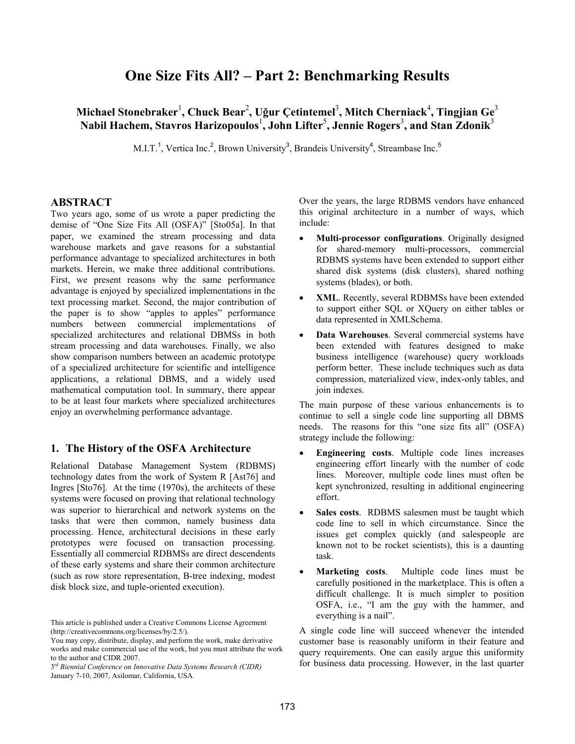# **One Size Fits All? – Part 2: Benchmarking Results**

# Michael Stonebraker<sup>1</sup>, Chuck Bear<sup>2</sup>, Uğur Çetintemel<sup>3</sup>, Mitch Cherniack<sup>4</sup>, Tingjian Ge<sup>3</sup> **Nabil Hachem, Stavros Harizopoulos** 1 **, John Lifter**<sup>5</sup> **, Jennie Rogers**<sup>3</sup> **, and Stan Zdonik**<sup>3</sup>

M.I.T.<sup>1</sup>, Vertica Inc.<sup>2</sup>, Brown University<sup>3</sup>, Brandeis University<sup>4</sup>, Streambase Inc.<sup>5</sup>

#### **ABSTRACT**

Two years ago, some of us wrote a paper predicting the demise of "One Size Fits All (OSFA)" [Sto05a]. In that paper, we examined the stream processing and data warehouse markets and gave reasons for a substantial performance advantage to specialized architectures in both markets. Herein, we make three additional contributions. First, we present reasons why the same performance advantage is enjoyed by specialized implementations in the text processing market. Second, the major contribution of the paper is to show "apples to apples" performance numbers between commercial implementations of specialized architectures and relational DBMSs in both stream processing and data warehouses. Finally, we also show comparison numbers between an academic prototype of a specialized architecture for scientific and intelligence applications, a relational DBMS, and a widely used mathematical computation tool. In summary, there appear to be at least four markets where specialized architectures enjoy an overwhelming performance advantage.

### **1. The History of the OSFA Architecture**

Relational Database Management System (RDBMS) technology dates from the work of System R [Ast76] and Ingres [Sto76]. At the time (1970s), the architects of these systems were focused on proving that relational technology was superior to hierarchical and network systems on the tasks that were then common, namely business data processing. Hence, architectural decisions in these early prototypes were focused on transaction processing. Essentially all commercial RDBMSs are direct descendents of these early systems and share their common architecture (such as row store representation, B-tree indexing, modest disk block size, and tuple-oriented execution).

Over the years, the large RDBMS vendors have enhanced this original architecture in a number of ways, which include:

- ! **Multi-processor configurations**. Originally designed for shared-memory multi-processors, commercial RDBMS systems have been extended to support either shared disk systems (disk clusters), shared nothing systems (blades), or both.
- ! **XML**. Recently, several RDBMSs have been extended to support either SQL or XQuery on either tables or data represented in XMLSchema.
- ! **Data Warehouses**. Several commercial systems have been extended with features designed to make business intelligence (warehouse) query workloads perform better. These include techniques such as data compression, materialized view, index-only tables, and join indexes.

The main purpose of these various enhancements is to continue to sell a single code line supporting all DBMS needs. The reasons for this "one size fits all" (OSFA) strategy include the following:

- ! **Engineering costs**. Multiple code lines increases engineering effort linearly with the number of code lines. Moreover, multiple code lines must often be kept synchronized, resulting in additional engineering effort.
- ! **Sales costs**. RDBMS salesmen must be taught which code line to sell in which circumstance. Since the issues get complex quickly (and salespeople are known not to be rocket scientists), this is a daunting task.
- ! **Marketing costs**. Multiple code lines must be carefully positioned in the marketplace. This is often a difficult challenge. It is much simpler to position OSFA, i.e., "I am the guy with the hammer, and everything is a nail".

A single code line will succeed whenever the intended customer base is reasonably uniform in their feature and query requirements. One can easily argue this uniformity for business data processing. However, in the last quarter

This article is published under a Creative Commons License Agreement (http://creativecommons.org/licenses/by/2.5/).

You may copy, distribute, display, and perform the work, make derivative works and make commercial use of the work, but you must attribute the work to the author and CIDR 2007.

<sup>3</sup>rd *Biennial Conference on Innovative Data Systems Research (CIDR)* January 7-10, 2007, Asilomar, California, USA.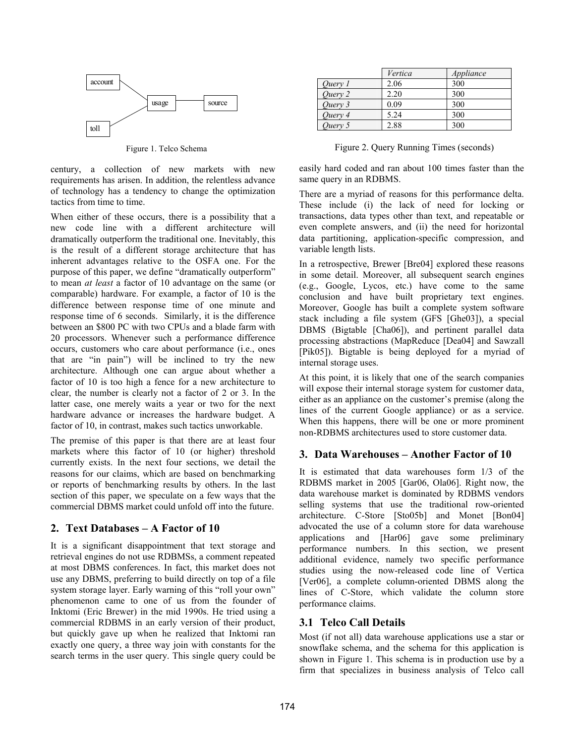

Figure 1. Telco Schema

century, a collection of new markets with new requirements has arisen. In addition, the relentless advance of technology has a tendency to change the optimization tactics from time to time.

When either of these occurs, there is a possibility that a new code line with a different architecture will dramatically outperform the traditional one. Inevitably, this is the result of a different storage architecture that has inherent advantages relative to the OSFA one. For the purpose of this paper, we define "dramatically outperform" to mean *at least* a factor of 10 advantage on the same (or comparable) hardware. For example, a factor of 10 is the difference between response time of one minute and response time of 6 seconds. Similarly, it is the difference between an \$800 PC with two CPUs and a blade farm with 20 processors. Whenever such a performance difference occurs, customers who care about performance (i.e., ones that are "in pain") will be inclined to try the new architecture. Although one can argue about whether a factor of 10 is too high a fence for a new architecture to clear, the number is clearly not a factor of 2 or 3. In the latter case, one merely waits a year or two for the next hardware advance or increases the hardware budget. A factor of 10, in contrast, makes such tactics unworkable.

The premise of this paper is that there are at least four markets where this factor of 10 (or higher) threshold currently exists. In the next four sections, we detail the reasons for our claims, which are based on benchmarking or reports of benchmarking results by others. In the last section of this paper, we speculate on a few ways that the commercial DBMS market could unfold off into the future.

# **2. Text Databases – A Factor of 10**

It is a significant disappointment that text storage and retrieval engines do not use RDBMSs, a comment repeated at most DBMS conferences. In fact, this market does not use any DBMS, preferring to build directly on top of a file system storage layer. Early warning of this "roll your own" phenomenon came to one of us from the founder of Inktomi (Eric Brewer) in the mid 1990s. He tried using a commercial RDBMS in an early version of their product, but quickly gave up when he realized that Inktomi ran exactly one query, a three way join with constants for the search terms in the user query. This single query could be

|         | Vertica | Appliance |
|---------|---------|-----------|
| Ouery 1 | 2.06    | 300       |
| Ouery 2 | 2.20    | 300       |
| Query 3 | 0.09    | 300       |
| Ouery 4 | 5.24    | 300       |
| Ouery 5 | 2.88    | 300       |

Figure 2. Query Running Times (seconds)

easily hard coded and ran about 100 times faster than the same query in an RDBMS.

There are a myriad of reasons for this performance delta. These include (i) the lack of need for locking or transactions, data types other than text, and repeatable or even complete answers, and (ii) the need for horizontal data partitioning, application-specific compression, and variable length lists.

In a retrospective, Brewer [Bre04] explored these reasons in some detail. Moreover, all subsequent search engines (e.g., Google, Lycos, etc.) have come to the same conclusion and have built proprietary text engines. Moreover, Google has built a complete system software stack including a file system (GFS [Ghe03]), a special DBMS (Bigtable [Cha06]), and pertinent parallel data processing abstractions (MapReduce [Dea04] and Sawzall [Pik05]). Bigtable is being deployed for a myriad of internal storage uses.

At this point, it is likely that one of the search companies will expose their internal storage system for customer data, either as an appliance on the customer's premise (along the lines of the current Google appliance) or as a service. When this happens, there will be one or more prominent non-RDBMS architectures used to store customer data.

# **3. Data Warehouses – Another Factor of 10**

It is estimated that data warehouses form 1/3 of the RDBMS market in 2005 [Gar06, Ola06]. Right now, the data warehouse market is dominated by RDBMS vendors selling systems that use the traditional row-oriented architecture. C-Store [Sto05b] and Monet [Bon04] advocated the use of a column store for data warehouse applications and [Har06] gave some preliminary performance numbers. In this section, we present additional evidence, namely two specific performance studies using the now-released code line of Vertica [Ver06], a complete column-oriented DBMS along the lines of C-Store, which validate the column store performance claims.

# **3.1 Telco Call Details**

Most (if not all) data warehouse applications use a star or snowflake schema, and the schema for this application is shown in Figure 1. This schema is in production use by a firm that specializes in business analysis of Telco call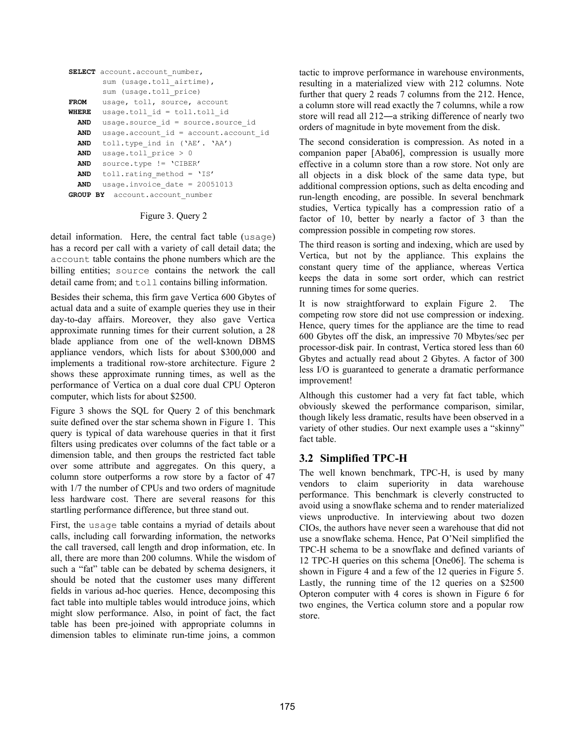```
SELECT account.account number,
       sum (usage.toll airtime),
       sum (usage.toll price)
FROM usage, toll, source, account
WHERE usage.toll_id = toll.toll_id
 AND usage.source id = source.source id
 AND usage.account id = account.account id
 AND toll.type_ind in ('AE'. 'AA')
 AND usage.toll price > 0AND source.type != 'CIBER'
 AND toll.rating method = 'IS'
 AND usage.invoice date = 20051013
GROUP BY account.account_number
```
#### Figure 3. Query 2

detail information. Here, the central fact table (usage) has a record per call with a variety of call detail data; the account table contains the phone numbers which are the billing entities; source contains the network the call detail came from; and toll contains billing information.

Besides their schema, this firm gave Vertica 600 Gbytes of actual data and a suite of example queries they use in their day-to-day affairs. Moreover, they also gave Vertica approximate running times for their current solution, a 28 blade appliance from one of the well-known DBMS appliance vendors, which lists for about \$300,000 and implements a traditional row-store architecture. Figure 2 shows these approximate running times, as well as the performance of Vertica on a dual core dual CPU Opteron computer, which lists for about \$2500.

Figure 3 shows the SQL for Query 2 of this benchmark suite defined over the star schema shown in Figure 1. This query is typical of data warehouse queries in that it first filters using predicates over columns of the fact table or a dimension table, and then groups the restricted fact table over some attribute and aggregates. On this query, a column store outperforms a row store by a factor of 47 with  $1/7$  the number of CPUs and two orders of magnitude less hardware cost. There are several reasons for this startling performance difference, but three stand out.

First, the usage table contains a myriad of details about calls, including call forwarding information, the networks the call traversed, call length and drop information, etc. In all, there are more than 200 columns. While the wisdom of such a "fat" table can be debated by schema designers, it should be noted that the customer uses many different fields in various ad-hoc queries. Hence, decomposing this fact table into multiple tables would introduce joins, which might slow performance. Also, in point of fact, the fact table has been pre-joined with appropriate columns in dimension tables to eliminate run-time joins, a common

tactic to improve performance in warehouse environments, resulting in a materialized view with 212 columns. Note further that query 2 reads 7 columns from the 212. Hence, a column store will read exactly the 7 columns, while a row store will read all 212—a striking difference of nearly two orders of magnitude in byte movement from the disk.

The second consideration is compression. As noted in a companion paper [Aba06], compression is usually more effective in a column store than a row store. Not only are all objects in a disk block of the same data type, but additional compression options, such as delta encoding and run-length encoding, are possible. In several benchmark studies, Vertica typically has a compression ratio of a factor of 10, better by nearly a factor of 3 than the compression possible in competing row stores.

The third reason is sorting and indexing, which are used by Vertica, but not by the appliance. This explains the constant query time of the appliance, whereas Vertica keeps the data in some sort order, which can restrict running times for some queries.

It is now straightforward to explain Figure 2. The competing row store did not use compression or indexing. Hence, query times for the appliance are the time to read 600 Gbytes off the disk, an impressive 70 Mbytes/sec per processor-disk pair. In contrast, Vertica stored less than 60 Gbytes and actually read about 2 Gbytes. A factor of 300 less I/O is guaranteed to generate a dramatic performance improvement!

Although this customer had a very fat fact table, which obviously skewed the performance comparison, similar, though likely less dramatic, results have been observed in a variety of other studies. Our next example uses a "skinny" fact table.

### **3.2 Simplified TPC-H**

The well known benchmark, TPC-H, is used by many vendors to claim superiority in data warehouse performance. This benchmark is cleverly constructed to avoid using a snowflake schema and to render materialized views unproductive. In interviewing about two dozen CIOs, the authors have never seen a warehouse that did not use a snowflake schema. Hence, Pat O'Neil simplified the TPC-H schema to be a snowflake and defined variants of 12 TPC-H queries on this schema [One06]. The schema is shown in Figure 4 and a few of the 12 queries in Figure 5. Lastly, the running time of the 12 queries on a \$2500 Opteron computer with 4 cores is shown in Figure 6 for two engines, the Vertica column store and a popular row store.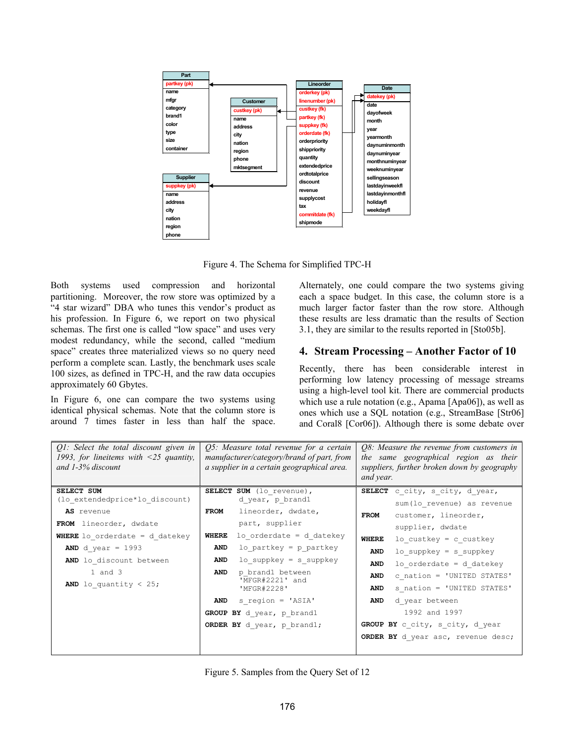

Figure 4. The Schema for Simplified TPC-H

Both systems used compression and horizontal partitioning. Moreover, the row store was optimized by a "4 star wizard" DBA who tunes this vendor's product as his profession. In Figure 6, we report on two physical schemas. The first one is called "low space" and uses very modest redundancy, while the second, called "medium space" creates three materialized views so no query need perform a complete scan. Lastly, the benchmark uses scale 100 sizes, as defined in TPC-H, and the raw data occupies approximately 60 Gbytes.

In Figure 6, one can compare the two systems using identical physical schemas. Note that the column store is around 7 times faster in less than half the space. Alternately, one could compare the two systems giving each a space budget. In this case, the column store is a much larger factor faster than the row store. Although these results are less dramatic than the results of Section 3.1, they are similar to the results reported in [Sto05b].

#### **4. Stream Processing – Another Factor of 10**

Recently, there has been considerable interest in performing low latency processing of message streams using a high-level tool kit. There are commercial products which use a rule notation (e.g., Apama [Apa06]), as well as ones which use a SQL notation (e.g., StreamBase [Str06] and Coral8 [Cor06]). Although there is some debate over

| O1: Select the total discount given in<br>1993, for lineitems with $\leq 25$ quantity,<br>and $1-3%$ discount | O5: Measure total revenue for a certain<br>manufacturer/category/brand of part, from<br>a supplier in a certain geographical area. | <i>O8:</i> Measure the revenue from customers in<br>the same geographical region as their<br>suppliers, further broken down by geography<br>and year. |  |
|---------------------------------------------------------------------------------------------------------------|------------------------------------------------------------------------------------------------------------------------------------|-------------------------------------------------------------------------------------------------------------------------------------------------------|--|
| SELECT SUM                                                                                                    | SELECT SUM (lo revenue),                                                                                                           | SELECT c city, s city, d year,                                                                                                                        |  |
| (lo extendedprice*lo discount)                                                                                | d year, p brandl                                                                                                                   | sum (lo revenue) as revenue                                                                                                                           |  |
| AS revenue                                                                                                    | lineorder, dwdate,<br>FROM                                                                                                         | customer, lineorder,<br><b>FROM</b>                                                                                                                   |  |
| FROM lineorder, dwdate                                                                                        | part, supplier                                                                                                                     | supplier, dwdate                                                                                                                                      |  |
| <b>WHERE</b> lo orderdate = $d$ datekey                                                                       | $lo$ orderdate = d datekey<br>WHERE                                                                                                | <b>WHERE</b><br>lo custkey = $c$ custkey                                                                                                              |  |
| AND d year = $1993$                                                                                           | lo partkey = $p$ partkey<br>AND                                                                                                    | $lo$ suppkey = s suppkey<br>AND                                                                                                                       |  |
| AND lo discount between                                                                                       | $lo$ suppkey = s suppkey<br>AND                                                                                                    | $lo$ orderdate = d datekey<br>AND                                                                                                                     |  |
| $1$ and $3$                                                                                                   | p brand1 between<br>AND                                                                                                            | c nation = 'UNITED STATES'<br>AND                                                                                                                     |  |
| <b>AND</b> lo quantity < $25$ ;                                                                               | 'MFGR#2221' and<br>'MFGR#2228'                                                                                                     | s nation = 'UNITED STATES'<br>AND                                                                                                                     |  |
|                                                                                                               | s region = 'ASIA'<br><b>AND</b>                                                                                                    | d year between<br>AND                                                                                                                                 |  |
|                                                                                                               | GROUP BY d year, p brand1                                                                                                          | 1992 and 1997                                                                                                                                         |  |
|                                                                                                               | ORDER BY d year, p brand1;                                                                                                         | GROUP BY c_city, s_city, d_year                                                                                                                       |  |
|                                                                                                               |                                                                                                                                    | ORDER BY d year asc, revenue desc;                                                                                                                    |  |

Figure 5. Samples from the Query Set of 12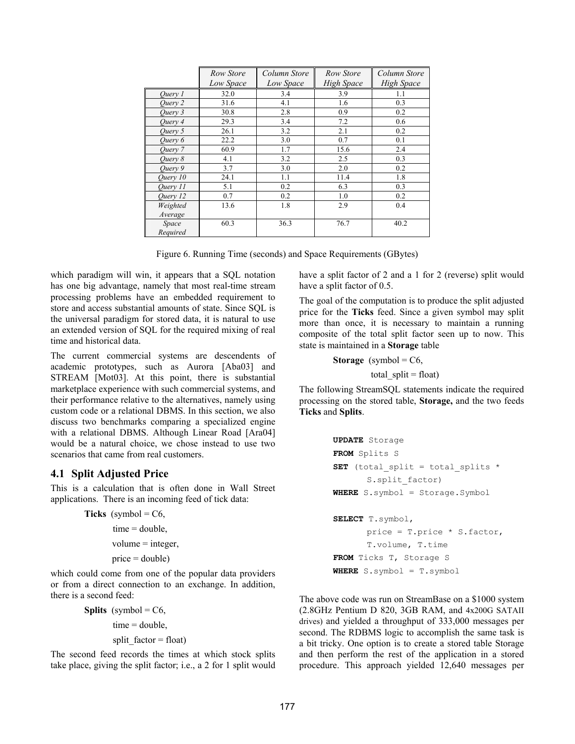|                    | Row Store | Column Store | Row Store  | Column Store |
|--------------------|-----------|--------------|------------|--------------|
|                    | Low Space | Low Space    | High Space | High Space   |
| Ouery 1            | 32.0      | 3.4          | 3.9        | 1.1          |
| Ouery 2            | 31.6      | 4.1          | 1.6        | 0.3          |
| Ouery 3            | 30.8      | 2.8          | 0.9        | 0.2          |
| Ouerv <sub>4</sub> | 29.3      | 3.4          | 7.2        | 0.6          |
| Ouery 5            | 26.1      | 3.2          | 2.1        | 0.2          |
| Ouery 6            | 22.2      | 3.0          | 0.7        | 0.1          |
| Ouery 7            | 60.9      | 1.7          | 15.6       | 2.4          |
| Ouerv 8            | 4.1       | 3.2          | 2.5        | 0.3          |
| Ouery 9            | 3.7       | 3.0          | 2.0        | 0.2          |
| Ouery 10           | 24.1      | 1.1          | 11.4       | 1.8          |
| Ouery 11           | 5.1       | 0.2          | 6.3        | 0.3          |
| Ouery 12           | 0.7       | 0.2          | 1.0        | 0.2          |
| Weighted           | 13.6      | 1.8          | 2.9        | 0.4          |
| Average            |           |              |            |              |
| Space<br>Required  | 60.3      | 36.3         | 76.7       | 40.2         |

Figure 6. Running Time (seconds) and Space Requirements (GBytes)

which paradigm will win, it appears that a SQL notation has one big advantage, namely that most real-time stream processing problems have an embedded requirement to store and access substantial amounts of state. Since SQL is the universal paradigm for stored data, it is natural to use an extended version of SQL for the required mixing of real time and historical data.

The current commercial systems are descendents of academic prototypes, such as Aurora [Aba03] and STREAM [Mot03]. At this point, there is substantial marketplace experience with such commercial systems, and their performance relative to the alternatives, namely using custom code or a relational DBMS. In this section, we also discuss two benchmarks comparing a specialized engine with a relational DBMS. Although Linear Road [Ara04] would be a natural choice, we chose instead to use two scenarios that came from real customers.

#### **4.1 Split Adjusted Price**

This is a calculation that is often done in Wall Street applications. There is an incoming feed of tick data:

```
Ticks (symbol = C6,
       time = double.
       volume = integer,
       price = double)
```
which could come from one of the popular data providers or from a direct connection to an exchange. In addition, there is a second feed:

```
Splits (symbol = C6,
       time = double,
       split factor = float)
```
The second feed records the times at which stock splits take place, giving the split factor; i.e., a 2 for 1 split would have a split factor of 2 and a 1 for 2 (reverse) split would have a split factor of 0.5.

The goal of the computation is to produce the split adjusted price for the **Ticks** feed. Since a given symbol may split more than once, it is necessary to maintain a running composite of the total split factor seen up to now. This state is maintained in a **Storage** table

**Storage** (symbol = C6, total\_split = float)

The following StreamSQL statements indicate the required processing on the stored table, **Storage,** and the two feeds **Ticks** and **Splits**.

```
UPDATE Storage 
FROM Splits S 
SET (total split = total splits *S.split factor)
WHERE S.symbol = Storage.Symbol 
SELECT T.symbol, 
       price = T.price * S.factor, 
       T.volume, T.time 
FROM Ticks T, Storage S 
WHERE S.symbol = T.symbol
```
The above code was run on StreamBase on a \$1000 system (2.8GHz Pentium D 820, 3GB RAM, and 4x200G SATAII drives) and yielded a throughput of 333,000 messages per second. The RDBMS logic to accomplish the same task is a bit tricky. One option is to create a stored table Storage and then perform the rest of the application in a stored procedure. This approach yielded 12,640 messages per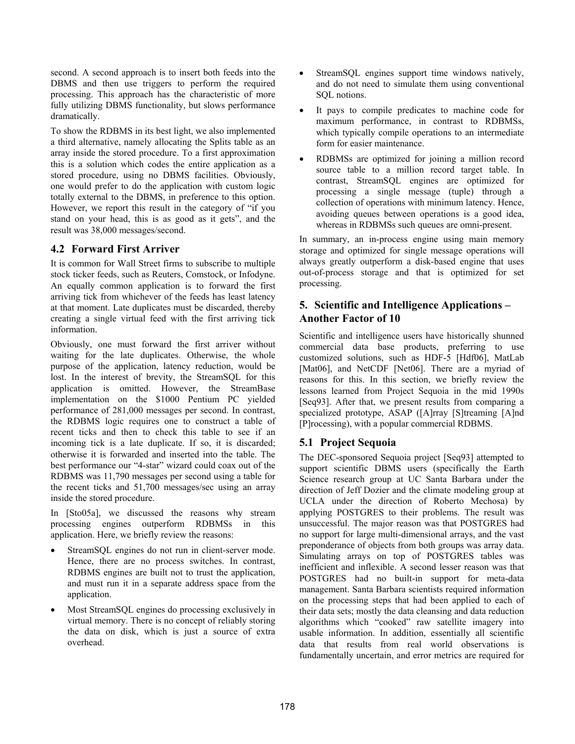second. A second approach is to insert both feeds into the DBMS and then use triggers to perform the required processing. This approach has the characteristic of more fully utilizing DBMS functionality, but slows performance dramatically.

To show the RDBMS in its best light, we also implemented a third alternative, namely allocating the Splits table as an array inside the stored procedure. To a first approximation this is a solution which codes the entire application as a stored procedure, using no DBMS facilities. Obviously, one would prefer to do the application with custom logic totally external to the DBMS, in preference to this option. However, we report this result in the category of "if you stand on your head, this is as good as it gets", and the result was 38,000 messages/second.

### **4.2 Forward First Arriver**

It is common for Wall Street firms to subscribe to multiple stock ticker feeds, such as Reuters, Comstock, or Infodyne. An equally common application is to forward the first arriving tick from whichever of the feeds has least latency at that moment. Late duplicates must be discarded, thereby creating a single virtual feed with the first arriving tick information.

Obviously, one must forward the first arriver without waiting for the late duplicates. Otherwise, the whole purpose of the application, latency reduction, would be lost. In the interest of brevity, the StreamSQL for this application is omitted. However, the StreamBase implementation on the \$1000 Pentium PC yielded performance of 281,000 messages per second. In contrast, the RDBMS logic requires one to construct a table of recent ticks and then to check this table to see if an incoming tick is a late duplicate. If so, it is discarded; otherwise it is forwarded and inserted into the table. The best performance our "4-star" wizard could coax out of the RDBMS was 11,790 messages per second using a table for the recent ticks and 51,700 messages/sec using an array inside the stored procedure.

In [Sto05a], we discussed the reasons why stream processing engines outperform RDBMSs in this application. Here, we briefly review the reasons:

- StreamSQL engines do not run in client-server mode. Hence, there are no process switches. In contrast, RDBMS engines are built not to trust the application, and must run it in a separate address space from the application.
- ! Most StreamSQL engines do processing exclusively in virtual memory. There is no concept of reliably storing the data on disk, which is just a source of extra overhead.
- StreamSQL engines support time windows natively, and do not need to simulate them using conventional SQL notions.
- It pays to compile predicates to machine code for maximum performance, in contrast to RDBMSs, which typically compile operations to an intermediate form for easier maintenance.
- ! RDBMSs are optimized for joining a million record source table to a million record target table. In contrast, StreamSQL engines are optimized for processing a single message (tuple) through a collection of operations with minimum latency. Hence, avoiding queues between operations is a good idea, whereas in RDBMSs such queues are omni-present.

In summary, an in-process engine using main memory storage and optimized for single message operations will always greatly outperform a disk-based engine that uses out-of-process storage and that is optimized for set processing.

# **5. Scientific and Intelligence Applications – Another Factor of 10**

Scientific and intelligence users have historically shunned commercial data base products, preferring to use customized solutions, such as HDF-5 [Hdf06], MatLab [Mat06], and NetCDF [Net06]. There are a myriad of reasons for this. In this section, we briefly review the lessons learned from Project Sequoia in the mid 1990s [Seq93]. After that, we present results from comparing a specialized prototype, ASAP ([A]rray [S]treaming [A]nd [P]rocessing), with a popular commercial RDBMS.

# **5.1 Project Sequoia**

The DEC-sponsored Sequoia project [Seq93] attempted to support scientific DBMS users (specifically the Earth Science research group at UC Santa Barbara under the direction of Jeff Dozier and the climate modeling group at UCLA under the direction of Roberto Mechosa) by applying POSTGRES to their problems. The result was unsuccessful. The major reason was that POSTGRES had no support for large multi-dimensional arrays, and the vast preponderance of objects from both groups was array data. Simulating arrays on top of POSTGRES tables was inefficient and inflexible. A second lesser reason was that POSTGRES had no built-in support for meta-data management. Santa Barbara scientists required information on the processing steps that had been applied to each of their data sets; mostly the data cleansing and data reduction algorithms which "cooked" raw satellite imagery into usable information. In addition, essentially all scientific data that results from real world observations is fundamentally uncertain, and error metrics are required for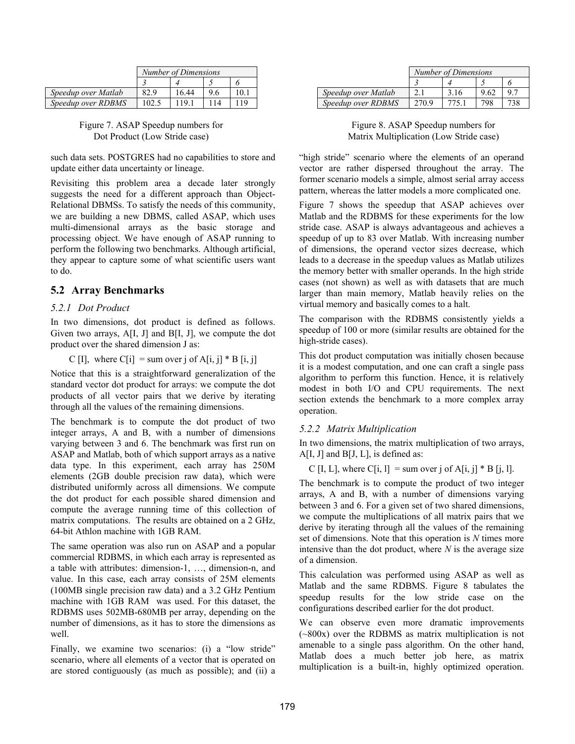|                     | Number of Dimensions |       |    |      |
|---------------------|----------------------|-------|----|------|
|                     |                      |       |    |      |
| Speedup over Matlab | 82.9                 | 16.44 | 96 | 10 1 |
| Speedup over RDBMS  | 102.5                | 119.  |    |      |

Figure 7. ASAP Speedup numbers for Dot Product (Low Stride case)

such data sets. POSTGRES had no capabilities to store and update either data uncertainty or lineage.

Revisiting this problem area a decade later strongly suggests the need for a different approach than Object-Relational DBMSs. To satisfy the needs of this community, we are building a new DBMS, called ASAP, which uses multi-dimensional arrays as the basic storage and processing object. We have enough of ASAP running to perform the following two benchmarks. Although artificial, they appear to capture some of what scientific users want to do.

### **5.2 Array Benchmarks**

#### *5.2.1 Dot Product*

In two dimensions, dot product is defined as follows. Given two arrays,  $A[I, J]$  and  $B[I, J]$ , we compute the dot product over the shared dimension J as:

C [I], where C[i] = sum over j of A[i, j]  $*$  B [i, j]

Notice that this is a straightforward generalization of the standard vector dot product for arrays: we compute the dot products of all vector pairs that we derive by iterating through all the values of the remaining dimensions.

The benchmark is to compute the dot product of two integer arrays, A and B, with a number of dimensions varying between 3 and 6. The benchmark was first run on ASAP and Matlab, both of which support arrays as a native data type. In this experiment, each array has 250M elements (2GB double precision raw data), which were distributed uniformly across all dimensions. We compute the dot product for each possible shared dimension and compute the average running time of this collection of matrix computations. The results are obtained on a 2 GHz, 64-bit Athlon machine with 1GB RAM.

The same operation was also run on ASAP and a popular commercial RDBMS, in which each array is represented as a table with attributes: dimension-1, …, dimension-n, and value. In this case, each array consists of 25M elements (100MB single precision raw data) and a 3.2 GHz Pentium machine with 1GB RAM was used. For this dataset, the RDBMS uses 502MB-680MB per array, depending on the number of dimensions, as it has to store the dimensions as well.

Finally, we examine two scenarios: (i) a "low stride" scenario, where all elements of a vector that is operated on are stored contiguously (as much as possible); and (ii) a

|                     | Number of Dimensions |      |     |  |
|---------------------|----------------------|------|-----|--|
|                     |                      |      |     |  |
| Speedup over Matlab |                      | 3.16 |     |  |
| Speedup over RDBMS  | 270.9                |      | 798 |  |

Figure 8. ASAP Speedup numbers for Matrix Multiplication (Low Stride case)

"high stride" scenario where the elements of an operand vector are rather dispersed throughout the array. The former scenario models a simple, almost serial array access pattern, whereas the latter models a more complicated one.

Figure 7 shows the speedup that ASAP achieves over Matlab and the RDBMS for these experiments for the low stride case. ASAP is always advantageous and achieves a speedup of up to 83 over Matlab. With increasing number of dimensions, the operand vector sizes decrease, which leads to a decrease in the speedup values as Matlab utilizes the memory better with smaller operands. In the high stride cases (not shown) as well as with datasets that are much larger than main memory, Matlab heavily relies on the virtual memory and basically comes to a halt.

The comparison with the RDBMS consistently yields a speedup of 100 or more (similar results are obtained for the high-stride cases).

This dot product computation was initially chosen because it is a modest computation, and one can craft a single pass algorithm to perform this function. Hence, it is relatively modest in both I/O and CPU requirements. The next section extends the benchmark to a more complex array operation.

#### *5.2.2 Matrix Multiplication*

In two dimensions, the matrix multiplication of two arrays,  $A[I, J]$  and  $B[J, L]$ , is defined as:

C [I, L], where C[i, l] = sum over j of A[i, j]  $*$  B [j, l].

The benchmark is to compute the product of two integer arrays, A and B, with a number of dimensions varying between 3 and 6. For a given set of two shared dimensions, we compute the multiplications of all matrix pairs that we derive by iterating through all the values of the remaining set of dimensions. Note that this operation is *N* times more intensive than the dot product, where *N* is the average size of a dimension.

This calculation was performed using ASAP as well as Matlab and the same RDBMS. Figure 8 tabulates the speedup results for the low stride case on the configurations described earlier for the dot product.

We can observe even more dramatic improvements (~800x) over the RDBMS as matrix multiplication is not amenable to a single pass algorithm. On the other hand, Matlab does a much better job here, as matrix multiplication is a built-in, highly optimized operation.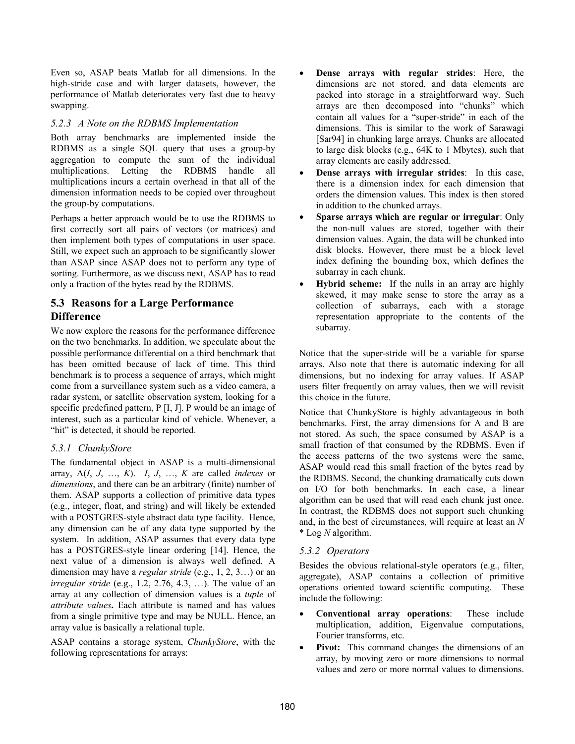Even so, ASAP beats Matlab for all dimensions. In the high-stride case and with larger datasets, however, the performance of Matlab deteriorates very fast due to heavy swapping.

#### *5.2.3 A Note on the RDBMS Implementation*

Both array benchmarks are implemented inside the RDBMS as a single SQL query that uses a group-by aggregation to compute the sum of the individual multiplications. Letting the RDBMS handle all multiplications incurs a certain overhead in that all of the dimension information needs to be copied over throughout the group-by computations.

Perhaps a better approach would be to use the RDBMS to first correctly sort all pairs of vectors (or matrices) and then implement both types of computations in user space. Still, we expect such an approach to be significantly slower than ASAP since ASAP does not to perform any type of sorting. Furthermore, as we discuss next, ASAP has to read only a fraction of the bytes read by the RDBMS.

# **5.3 Reasons for a Large Performance Difference**

We now explore the reasons for the performance difference on the two benchmarks. In addition, we speculate about the possible performance differential on a third benchmark that has been omitted because of lack of time. This third benchmark is to process a sequence of arrays, which might come from a surveillance system such as a video camera, a radar system, or satellite observation system, looking for a specific predefined pattern, P [I, J]. P would be an image of interest, such as a particular kind of vehicle. Whenever, a "hit" is detected, it should be reported.

### *5.3.1 ChunkyStore*

The fundamental object in ASAP is a multi-dimensional array, A(*I*, *J*, …, *K*). *I*, *J*, …, *K* are called *indexes* or *dimensions*, and there can be an arbitrary (finite) number of them. ASAP supports a collection of primitive data types (e.g., integer, float, and string) and will likely be extended with a POSTGRES-style abstract data type facility. Hence, any dimension can be of any data type supported by the system. In addition, ASAP assumes that every data type has a POSTGRES-style linear ordering [14]. Hence, the next value of a dimension is always well defined. A dimension may have a *regular stride* (e.g., 1, 2, 3…) or an *irregular stride* (e.g., 1.2, 2.76, 4.3, …). The value of an array at any collection of dimension values is a *tuple* of *attribute values***.** Each attribute is named and has values from a single primitive type and may be NULL. Hence, an array value is basically a relational tuple.

ASAP contains a storage system, *ChunkyStore*, with the following representations for arrays:

- ! **Dense arrays with regular strides**: Here, the dimensions are not stored, and data elements are packed into storage in a straightforward way. Such arrays are then decomposed into "chunks" which contain all values for a "super-stride" in each of the dimensions. This is similar to the work of Sarawagi [Sar94] in chunking large arrays. Chunks are allocated to large disk blocks (e.g., 64K to 1 Mbytes), such that array elements are easily addressed.
- ! **Dense arrays with irregular strides**: In this case, there is a dimension index for each dimension that orders the dimension values. This index is then stored in addition to the chunked arrays.
- ! **Sparse arrays which are regular or irregular**: Only the non-null values are stored, together with their dimension values. Again, the data will be chunked into disk blocks. However, there must be a block level index defining the bounding box, which defines the subarray in each chunk.
- ! **Hybrid scheme:** If the nulls in an array are highly skewed, it may make sense to store the array as a collection of subarrays, each with a storage representation appropriate to the contents of the subarray.

Notice that the super-stride will be a variable for sparse arrays. Also note that there is automatic indexing for all dimensions, but no indexing for array values. If ASAP users filter frequently on array values, then we will revisit this choice in the future.

Notice that ChunkyStore is highly advantageous in both benchmarks. First, the array dimensions for A and B are not stored. As such, the space consumed by ASAP is a small fraction of that consumed by the RDBMS. Even if the access patterns of the two systems were the same, ASAP would read this small fraction of the bytes read by the RDBMS. Second, the chunking dramatically cuts down on I/O for both benchmarks. In each case, a linear algorithm can be used that will read each chunk just once. In contrast, the RDBMS does not support such chunking and, in the best of circumstances, will require at least an *N* \* Log *N* algorithm.

### *5.3.2 Operators*

Besides the obvious relational-style operators (e.g., filter, aggregate), ASAP contains a collection of primitive operations oriented toward scientific computing. These include the following:

- ! **Conventional array operations**: These include multiplication, addition, Eigenvalue computations, Fourier transforms, etc.
- **Pivot:** This command changes the dimensions of an array, by moving zero or more dimensions to normal values and zero or more normal values to dimensions.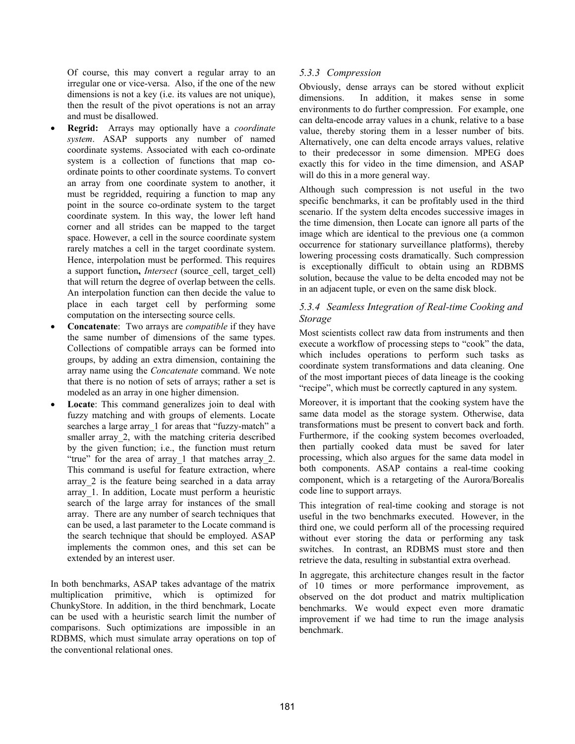Of course, this may convert a regular array to an irregular one or vice-versa. Also, if the one of the new dimensions is not a key (i.e. its values are not unique), then the result of the pivot operations is not an array and must be disallowed.

- ! **Regrid:** Arrays may optionally have a *coordinate system*. ASAP supports any number of named coordinate systems. Associated with each co-ordinate system is a collection of functions that map coordinate points to other coordinate systems. To convert an array from one coordinate system to another, it must be regridded, requiring a function to map any point in the source co-ordinate system to the target coordinate system. In this way, the lower left hand corner and all strides can be mapped to the target space. However, a cell in the source coordinate system rarely matches a cell in the target coordinate system. Hence, interpolation must be performed. This requires a support function, *Intersect* (source cell, target cell) that will return the degree of overlap between the cells. An interpolation function can then decide the value to place in each target cell by performing some computation on the intersecting source cells.
- ! **Concatenate**: Two arrays are *compatible* if they have the same number of dimensions of the same types. Collections of compatible arrays can be formed into groups, by adding an extra dimension, containing the array name using the *Concatenate* command. We note that there is no notion of sets of arrays; rather a set is modeled as an array in one higher dimension.
- Locate: This command generalizes join to deal with fuzzy matching and with groups of elements. Locate searches a large array 1 for areas that "fuzzy-match" a smaller array 2, with the matching criteria described by the given function; i.e., the function must return "true" for the area of array\_1 that matches array\_2. This command is useful for feature extraction, where array\_2 is the feature being searched in a data array array\_1. In addition, Locate must perform a heuristic search of the large array for instances of the small array. There are any number of search techniques that can be used, a last parameter to the Locate command is the search technique that should be employed. ASAP implements the common ones, and this set can be extended by an interest user.

In both benchmarks, ASAP takes advantage of the matrix multiplication primitive, which is optimized for ChunkyStore. In addition, in the third benchmark, Locate can be used with a heuristic search limit the number of comparisons. Such optimizations are impossible in an RDBMS, which must simulate array operations on top of the conventional relational ones.

### *5.3.3 Compression*

Obviously, dense arrays can be stored without explicit dimensions. In addition, it makes sense in some environments to do further compression. For example, one can delta-encode array values in a chunk, relative to a base value, thereby storing them in a lesser number of bits. Alternatively, one can delta encode arrays values, relative to their predecessor in some dimension. MPEG does exactly this for video in the time dimension, and ASAP will do this in a more general way.

Although such compression is not useful in the two specific benchmarks, it can be profitably used in the third scenario. If the system delta encodes successive images in the time dimension, then Locate can ignore all parts of the image which are identical to the previous one (a common occurrence for stationary surveillance platforms), thereby lowering processing costs dramatically. Such compression is exceptionally difficult to obtain using an RDBMS solution, because the value to be delta encoded may not be in an adjacent tuple, or even on the same disk block.

### *5.3.4 Seamless Integration of Real-time Cooking and Storage*

Most scientists collect raw data from instruments and then execute a workflow of processing steps to "cook" the data, which includes operations to perform such tasks as coordinate system transformations and data cleaning. One of the most important pieces of data lineage is the cooking "recipe", which must be correctly captured in any system.

Moreover, it is important that the cooking system have the same data model as the storage system. Otherwise, data transformations must be present to convert back and forth. Furthermore, if the cooking system becomes overloaded, then partially cooked data must be saved for later processing, which also argues for the same data model in both components. ASAP contains a real-time cooking component, which is a retargeting of the Aurora/Borealis code line to support arrays.

This integration of real-time cooking and storage is not useful in the two benchmarks executed. However, in the third one, we could perform all of the processing required without ever storing the data or performing any task switches. In contrast, an RDBMS must store and then retrieve the data, resulting in substantial extra overhead.

In aggregate, this architecture changes result in the factor of 10 times or more performance improvement, as observed on the dot product and matrix multiplication benchmarks. We would expect even more dramatic improvement if we had time to run the image analysis benchmark.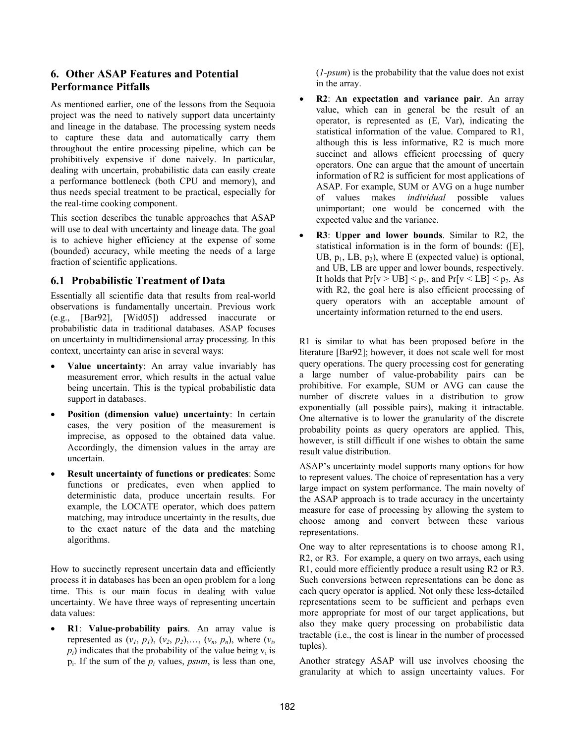# **6. Other ASAP Features and Potential Performance Pitfalls**

As mentioned earlier, one of the lessons from the Sequoia project was the need to natively support data uncertainty and lineage in the database. The processing system needs to capture these data and automatically carry them throughout the entire processing pipeline, which can be prohibitively expensive if done naively. In particular, dealing with uncertain, probabilistic data can easily create a performance bottleneck (both CPU and memory), and thus needs special treatment to be practical, especially for the real-time cooking component.

This section describes the tunable approaches that ASAP will use to deal with uncertainty and lineage data. The goal is to achieve higher efficiency at the expense of some (bounded) accuracy, while meeting the needs of a large fraction of scientific applications.

### **6.1 Probabilistic Treatment of Data**

Essentially all scientific data that results from real-world observations is fundamentally uncertain. Previous work (e.g., [Bar92], [Wid05]) addressed inaccurate or probabilistic data in traditional databases. ASAP focuses on uncertainty in multidimensional array processing. In this context, uncertainty can arise in several ways:

- ! **Value uncertainty**: An array value invariably has measurement error, which results in the actual value being uncertain. This is the typical probabilistic data support in databases.
- ! **Position (dimension value) uncertainty**: In certain cases, the very position of the measurement is imprecise, as opposed to the obtained data value. Accordingly, the dimension values in the array are uncertain.
- ! **Result uncertainty of functions or predicates**: Some functions or predicates, even when applied to deterministic data, produce uncertain results. For example, the LOCATE operator, which does pattern matching, may introduce uncertainty in the results, due to the exact nature of the data and the matching algorithms.

How to succinctly represent uncertain data and efficiently process it in databases has been an open problem for a long time. This is our main focus in dealing with value uncertainty. We have three ways of representing uncertain data values:

! **R1**: **Value-probability pairs**. An array value is represented as  $(v_1, p_1)$ ,  $(v_2, p_2)$ ,...,  $(v_n, p_n)$ , where  $(v_i,$  $p_i$ ) indicates that the probability of the value being  $v_i$  is pi. If the sum of the *pi* values, *psum*, is less than one, (*1-psum*) is the probability that the value does not exist in the array.

- ! **R2**: **An expectation and variance pair**. An array value, which can in general be the result of an operator, is represented as (E, Var), indicating the statistical information of the value. Compared to R1, although this is less informative, R2 is much more succinct and allows efficient processing of query operators. One can argue that the amount of uncertain information of R2 is sufficient for most applications of ASAP. For example, SUM or AVG on a huge number of values makes *individual* possible values unimportant; one would be concerned with the expected value and the variance.
- ! **R3**: **Upper and lower bounds**. Similar to R2, the statistical information is in the form of bounds: ([E], UB,  $p_1$ , LB,  $p_2$ ), where E (expected value) is optional, and UB, LB are upper and lower bounds, respectively. It holds that  $Pr[v > UB] < p_1$ , and  $Pr[v < LB] < p_2$ . As with R2, the goal here is also efficient processing of query operators with an acceptable amount of uncertainty information returned to the end users.

R1 is similar to what has been proposed before in the literature [Bar92]; however, it does not scale well for most query operations. The query processing cost for generating a large number of value-probability pairs can be prohibitive. For example, SUM or AVG can cause the number of discrete values in a distribution to grow exponentially (all possible pairs), making it intractable. One alternative is to lower the granularity of the discrete probability points as query operators are applied. This, however, is still difficult if one wishes to obtain the same result value distribution.

ASAP's uncertainty model supports many options for how to represent values. The choice of representation has a very large impact on system performance. The main novelty of the ASAP approach is to trade accuracy in the uncertainty measure for ease of processing by allowing the system to choose among and convert between these various representations.

One way to alter representations is to choose among R1, R2, or R3. For example, a query on two arrays, each using R1, could more efficiently produce a result using R2 or R3. Such conversions between representations can be done as each query operator is applied. Not only these less-detailed representations seem to be sufficient and perhaps even more appropriate for most of our target applications, but also they make query processing on probabilistic data tractable (i.e., the cost is linear in the number of processed tuples).

Another strategy ASAP will use involves choosing the granularity at which to assign uncertainty values. For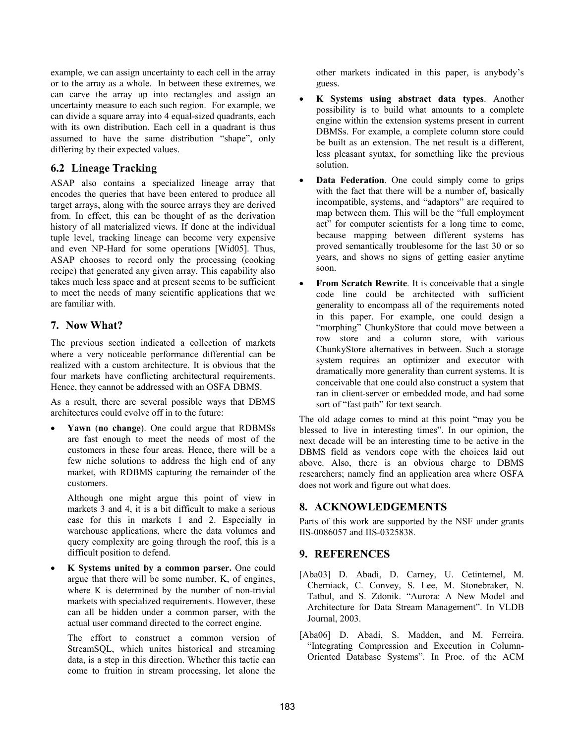example, we can assign uncertainty to each cell in the array or to the array as a whole. In between these extremes, we can carve the array up into rectangles and assign an uncertainty measure to each such region. For example, we can divide a square array into 4 equal-sized quadrants, each with its own distribution. Each cell in a quadrant is thus assumed to have the same distribution "shape", only differing by their expected values.

# **6.2 Lineage Tracking**

ASAP also contains a specialized lineage array that encodes the queries that have been entered to produce all target arrays, along with the source arrays they are derived from. In effect, this can be thought of as the derivation history of all materialized views. If done at the individual tuple level, tracking lineage can become very expensive and even NP-Hard for some operations [Wid05]. Thus, ASAP chooses to record only the processing (cooking recipe) that generated any given array. This capability also takes much less space and at present seems to be sufficient to meet the needs of many scientific applications that we are familiar with.

# **7. Now What?**

The previous section indicated a collection of markets where a very noticeable performance differential can be realized with a custom architecture. It is obvious that the four markets have conflicting architectural requirements. Hence, they cannot be addressed with an OSFA DBMS.

As a result, there are several possible ways that DBMS architectures could evolve off in to the future:

! **Yawn** (**no change**). One could argue that RDBMSs are fast enough to meet the needs of most of the customers in these four areas. Hence, there will be a few niche solutions to address the high end of any market, with RDBMS capturing the remainder of the customers.

Although one might argue this point of view in markets 3 and 4, it is a bit difficult to make a serious case for this in markets 1 and 2. Especially in warehouse applications, where the data volumes and query complexity are going through the roof, this is a difficult position to defend.

! **K Systems united by a common parser.** One could argue that there will be some number, K, of engines, where K is determined by the number of non-trivial markets with specialized requirements. However, these can all be hidden under a common parser, with the actual user command directed to the correct engine.

The effort to construct a common version of StreamSQL, which unites historical and streaming data, is a step in this direction. Whether this tactic can come to fruition in stream processing, let alone the

other markets indicated in this paper, is anybody's guess.

- ! **K Systems using abstract data types**. Another possibility is to build what amounts to a complete engine within the extension systems present in current DBMSs. For example, a complete column store could be built as an extension. The net result is a different, less pleasant syntax, for something like the previous solution.
- ! **Data Federation**. One could simply come to grips with the fact that there will be a number of, basically incompatible, systems, and "adaptors" are required to map between them. This will be the "full employment act" for computer scientists for a long time to come, because mapping between different systems has proved semantically troublesome for the last 30 or so years, and shows no signs of getting easier anytime soon.
- **From Scratch Rewrite**. It is conceivable that a single code line could be architected with sufficient generality to encompass all of the requirements noted in this paper. For example, one could design a "morphing" ChunkyStore that could move between a row store and a column store, with various ChunkyStore alternatives in between. Such a storage system requires an optimizer and executor with dramatically more generality than current systems. It is conceivable that one could also construct a system that ran in client-server or embedded mode, and had some sort of "fast path" for text search.

The old adage comes to mind at this point "may you be blessed to live in interesting times". In our opinion, the next decade will be an interesting time to be active in the DBMS field as vendors cope with the choices laid out above. Also, there is an obvious charge to DBMS researchers; namely find an application area where OSFA does not work and figure out what does.

# **8. ACKNOWLEDGEMENTS**

Parts of this work are supported by the NSF under grants IIS-0086057 and IIS-0325838.

# **9. REFERENCES**

- [Aba03] D. Abadi, D. Carney, U. Cetintemel, M. Cherniack, C. Convey, S. Lee, M. Stonebraker, N. Tatbul, and S. Zdonik. "Aurora: A New Model and Architecture for Data Stream Management". In VLDB Journal, 2003.
- [Aba06] D. Abadi, S. Madden, and M. Ferreira. "Integrating Compression and Execution in Column-Oriented Database Systems". In Proc. of the ACM